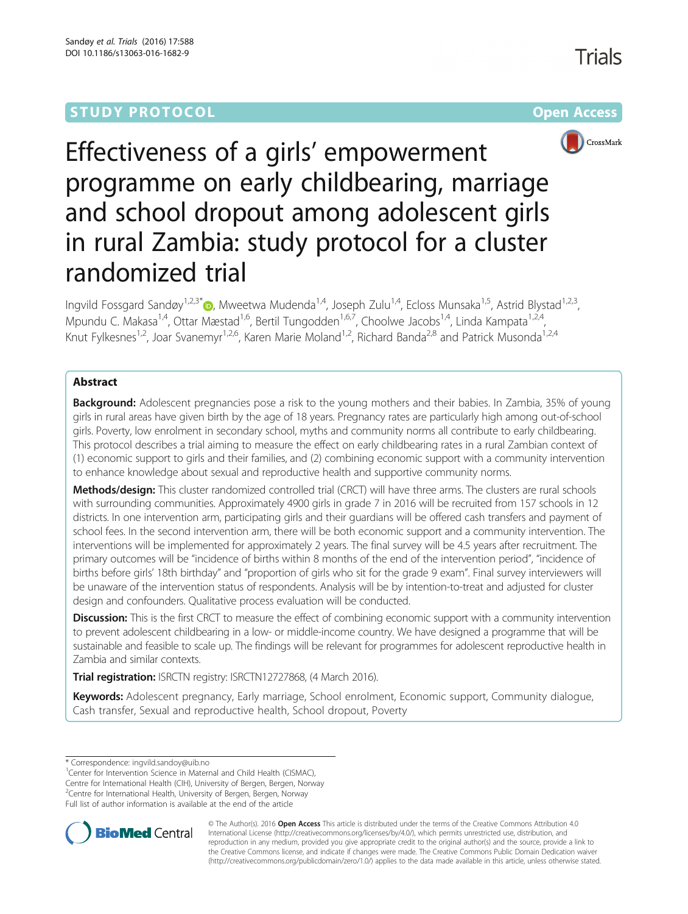# **STUDY PROTOCOL CONSUMING THE RESERVE ACCESS**



Effectiveness of a girls' empowerment programme on early childbearing, marriage and school dropout among adolescent girls in rural Zambia: study protocol for a cluster randomized trial

Ingvild Fossgard Sandøy<sup>1[,](http://orcid.org/0000-0001-5567-4588)2,3\*</sup> $\bullet$ , Mweetwa Mudenda<sup>1,4</sup>, Joseph Zulu<sup>1,4</sup>, Ecloss Munsaka<sup>1,5</sup>, Astrid Blystad<sup>1,2,3</sup>, Mpundu C. Makasa<sup>1,4</sup>, Ottar Mæstad<sup>1,6</sup>, Bertil Tungodden<sup>1,6,7</sup>, Choolwe Jacobs<sup>1,4</sup>, Linda Kampata<sup>1,2,4</sup>, Knut Fylkesnes<sup>1,2</sup>, Joar Svanemyr<sup>1,2,6</sup>, Karen Marie Moland<sup>1,2</sup>, Richard Banda<sup>2,8</sup> and Patrick Musonda<sup>1,2,4</sup>

## Abstract

Background: Adolescent pregnancies pose a risk to the young mothers and their babies. In Zambia, 35% of young girls in rural areas have given birth by the age of 18 years. Pregnancy rates are particularly high among out-of-school girls. Poverty, low enrolment in secondary school, myths and community norms all contribute to early childbearing. This protocol describes a trial aiming to measure the effect on early childbearing rates in a rural Zambian context of (1) economic support to girls and their families, and (2) combining economic support with a community intervention to enhance knowledge about sexual and reproductive health and supportive community norms.

Methods/design: This cluster randomized controlled trial (CRCT) will have three arms. The clusters are rural schools with surrounding communities. Approximately 4900 girls in grade 7 in 2016 will be recruited from 157 schools in 12 districts. In one intervention arm, participating girls and their guardians will be offered cash transfers and payment of school fees. In the second intervention arm, there will be both economic support and a community intervention. The interventions will be implemented for approximately 2 years. The final survey will be 4.5 years after recruitment. The primary outcomes will be "incidence of births within 8 months of the end of the intervention period", "incidence of births before girls' 18th birthday" and "proportion of girls who sit for the grade 9 exam". Final survey interviewers will be unaware of the intervention status of respondents. Analysis will be by intention-to-treat and adjusted for cluster design and confounders. Qualitative process evaluation will be conducted.

Discussion: This is the first CRCT to measure the effect of combining economic support with a community intervention to prevent adolescent childbearing in a low- or middle-income country. We have designed a programme that will be sustainable and feasible to scale up. The findings will be relevant for programmes for adolescent reproductive health in Zambia and similar contexts.

Trial registration: ISRCTN registry: [ISRCTN12727868,](http://www.isrctn.com/ISRCTN12727868) (4 March 2016).

Keywords: Adolescent pregnancy, Early marriage, School enrolment, Economic support, Community dialogue, Cash transfer, Sexual and reproductive health, School dropout, Poverty

\* Correspondence: [ingvild.sandoy@uib.no](mailto:ingvild.sandoy@uib.no) <sup>1</sup>

<sup>1</sup>Center for Intervention Science in Maternal and Child Health (CISMAC),

Centre for International Health (CIH), University of Bergen, Bergen, Norway <sup>2</sup> Centre for International Health, University of Bergen, Bergen, Norway

Full list of author information is available at the end of the article



© The Author(s). 2016 Open Access This article is distributed under the terms of the Creative Commons Attribution 4.0 International License [\(http://creativecommons.org/licenses/by/4.0/](http://creativecommons.org/licenses/by/4.0/)), which permits unrestricted use, distribution, and reproduction in any medium, provided you give appropriate credit to the original author(s) and the source, provide a link to the Creative Commons license, and indicate if changes were made. The Creative Commons Public Domain Dedication waiver [\(http://creativecommons.org/publicdomain/zero/1.0/](http://creativecommons.org/publicdomain/zero/1.0/)) applies to the data made available in this article, unless otherwise stated.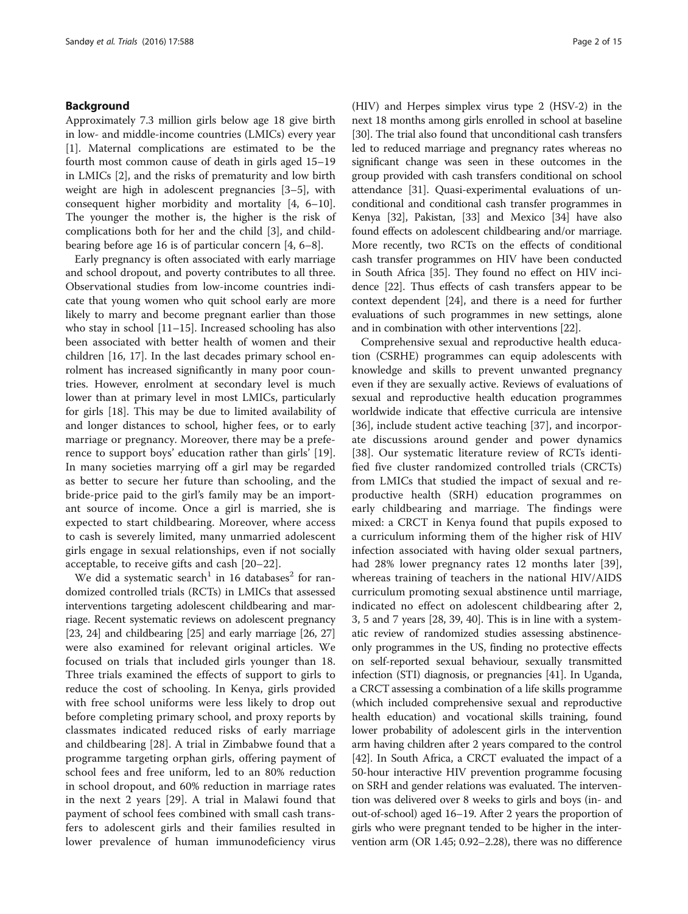## Background

Approximately 7.3 million girls below age 18 give birth in low- and middle-income countries (LMICs) every year [[1\]](#page-13-0). Maternal complications are estimated to be the fourth most common cause of death in girls aged 15–19 in LMICs [[2\]](#page-13-0), and the risks of prematurity and low birth weight are high in adolescent pregnancies [[3](#page-13-0)–[5](#page-13-0)], with consequent higher morbidity and mortality [\[4, 6](#page-13-0)–[10](#page-13-0)]. The younger the mother is, the higher is the risk of complications both for her and the child [\[3](#page-13-0)], and childbearing before age 16 is of particular concern [\[4, 6](#page-13-0)–[8\]](#page-13-0).

Early pregnancy is often associated with early marriage and school dropout, and poverty contributes to all three. Observational studies from low-income countries indicate that young women who quit school early are more likely to marry and become pregnant earlier than those who stay in school [[11](#page-13-0)–[15](#page-13-0)]. Increased schooling has also been associated with better health of women and their children [[16, 17\]](#page-13-0). In the last decades primary school enrolment has increased significantly in many poor countries. However, enrolment at secondary level is much lower than at primary level in most LMICs, particularly for girls [[18](#page-13-0)]. This may be due to limited availability of and longer distances to school, higher fees, or to early marriage or pregnancy. Moreover, there may be a preference to support boys' education rather than girls' [\[19](#page-13-0)]. In many societies marrying off a girl may be regarded as better to secure her future than schooling, and the bride-price paid to the girl's family may be an important source of income. Once a girl is married, she is expected to start childbearing. Moreover, where access to cash is severely limited, many unmarried adolescent girls engage in sexual relationships, even if not socially acceptable, to receive gifts and cash [[20](#page-13-0)–[22](#page-13-0)].

We did a systematic search<sup>1</sup> in 16 databases<sup>2</sup> for randomized controlled trials (RCTs) in LMICs that assessed interventions targeting adolescent childbearing and marriage. Recent systematic reviews on adolescent pregnancy [[23](#page-13-0), [24](#page-13-0)] and childbearing [[25](#page-14-0)] and early marriage [[26](#page-14-0), [27](#page-14-0)] were also examined for relevant original articles. We focused on trials that included girls younger than 18. Three trials examined the effects of support to girls to reduce the cost of schooling. In Kenya, girls provided with free school uniforms were less likely to drop out before completing primary school, and proxy reports by classmates indicated reduced risks of early marriage and childbearing [[28\]](#page-14-0). A trial in Zimbabwe found that a programme targeting orphan girls, offering payment of school fees and free uniform, led to an 80% reduction in school dropout, and 60% reduction in marriage rates in the next 2 years [[29\]](#page-14-0). A trial in Malawi found that payment of school fees combined with small cash transfers to adolescent girls and their families resulted in lower prevalence of human immunodeficiency virus

(HIV) and Herpes simplex virus type 2 (HSV-2) in the next 18 months among girls enrolled in school at baseline [[30](#page-14-0)]. The trial also found that unconditional cash transfers led to reduced marriage and pregnancy rates whereas no significant change was seen in these outcomes in the group provided with cash transfers conditional on school attendance [[31](#page-14-0)]. Quasi-experimental evaluations of unconditional and conditional cash transfer programmes in Kenya [\[32\]](#page-14-0), Pakistan, [\[33\]](#page-14-0) and Mexico [[34](#page-14-0)] have also found effects on adolescent childbearing and/or marriage. More recently, two RCTs on the effects of conditional cash transfer programmes on HIV have been conducted in South Africa [\[35\]](#page-14-0). They found no effect on HIV incidence [[22\]](#page-13-0). Thus effects of cash transfers appear to be context dependent [[24](#page-13-0)], and there is a need for further evaluations of such programmes in new settings, alone and in combination with other interventions [\[22\]](#page-13-0).

Comprehensive sexual and reproductive health education (CSRHE) programmes can equip adolescents with knowledge and skills to prevent unwanted pregnancy even if they are sexually active. Reviews of evaluations of sexual and reproductive health education programmes worldwide indicate that effective curricula are intensive [[36\]](#page-14-0), include student active teaching [\[37](#page-14-0)], and incorporate discussions around gender and power dynamics [[38\]](#page-14-0). Our systematic literature review of RCTs identified five cluster randomized controlled trials (CRCTs) from LMICs that studied the impact of sexual and reproductive health (SRH) education programmes on early childbearing and marriage. The findings were mixed: a CRCT in Kenya found that pupils exposed to a curriculum informing them of the higher risk of HIV infection associated with having older sexual partners, had 28% lower pregnancy rates 12 months later [\[39](#page-14-0)], whereas training of teachers in the national HIV/AIDS curriculum promoting sexual abstinence until marriage, indicated no effect on adolescent childbearing after 2, 3, 5 and 7 years [\[28, 39, 40](#page-14-0)]. This is in line with a systematic review of randomized studies assessing abstinenceonly programmes in the US, finding no protective effects on self-reported sexual behaviour, sexually transmitted infection (STI) diagnosis, or pregnancies [[41](#page-14-0)]. In Uganda, a CRCT assessing a combination of a life skills programme (which included comprehensive sexual and reproductive health education) and vocational skills training, found lower probability of adolescent girls in the intervention arm having children after 2 years compared to the control [[42](#page-14-0)]. In South Africa, a CRCT evaluated the impact of a 50-hour interactive HIV prevention programme focusing on SRH and gender relations was evaluated. The intervention was delivered over 8 weeks to girls and boys (in- and out-of-school) aged 16–19. After 2 years the proportion of girls who were pregnant tended to be higher in the intervention arm (OR 1.45; 0.92–2.28), there was no difference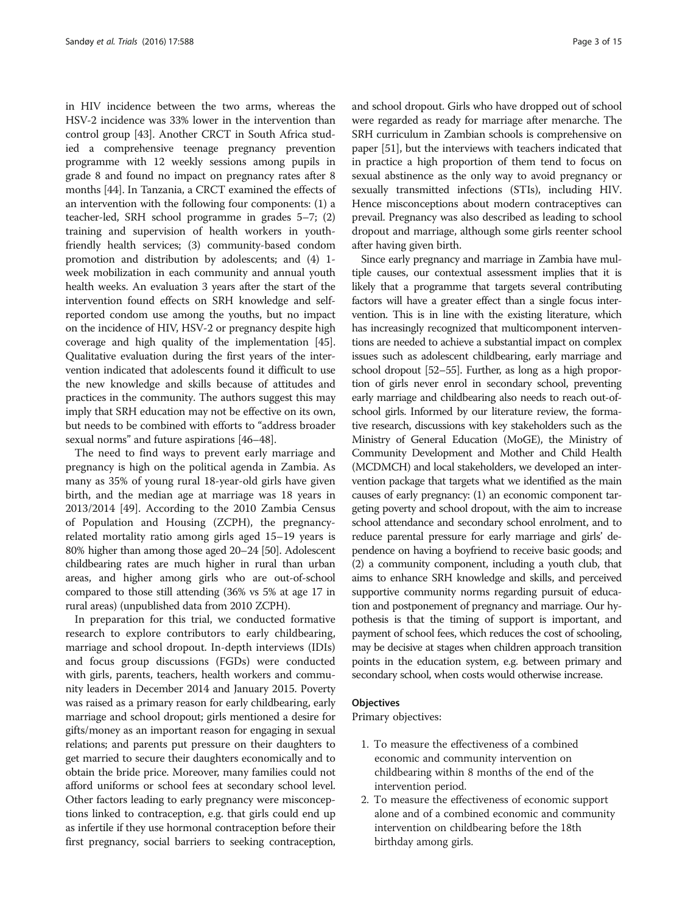in HIV incidence between the two arms, whereas the HSV-2 incidence was 33% lower in the intervention than control group [\[43\]](#page-14-0). Another CRCT in South Africa studied a comprehensive teenage pregnancy prevention programme with 12 weekly sessions among pupils in grade 8 and found no impact on pregnancy rates after 8 months [\[44\]](#page-14-0). In Tanzania, a CRCT examined the effects of an intervention with the following four components: (1) a teacher-led, SRH school programme in grades 5–7; (2) training and supervision of health workers in youthfriendly health services; (3) community-based condom promotion and distribution by adolescents; and (4) 1 week mobilization in each community and annual youth health weeks. An evaluation 3 years after the start of the intervention found effects on SRH knowledge and selfreported condom use among the youths, but no impact on the incidence of HIV, HSV-2 or pregnancy despite high coverage and high quality of the implementation [[45](#page-14-0)]. Qualitative evaluation during the first years of the intervention indicated that adolescents found it difficult to use the new knowledge and skills because of attitudes and practices in the community. The authors suggest this may imply that SRH education may not be effective on its own, but needs to be combined with efforts to "address broader sexual norms" and future aspirations [\[46](#page-14-0)–[48](#page-14-0)].

The need to find ways to prevent early marriage and pregnancy is high on the political agenda in Zambia. As many as 35% of young rural 18-year-old girls have given birth, and the median age at marriage was 18 years in 2013/2014 [[49\]](#page-14-0). According to the 2010 Zambia Census of Population and Housing (ZCPH), the pregnancyrelated mortality ratio among girls aged 15–19 years is 80% higher than among those aged 20–24 [\[50\]](#page-14-0). Adolescent childbearing rates are much higher in rural than urban areas, and higher among girls who are out-of-school compared to those still attending (36% vs 5% at age 17 in rural areas) (unpublished data from 2010 ZCPH).

In preparation for this trial, we conducted formative research to explore contributors to early childbearing, marriage and school dropout. In-depth interviews (IDIs) and focus group discussions (FGDs) were conducted with girls, parents, teachers, health workers and community leaders in December 2014 and January 2015. Poverty was raised as a primary reason for early childbearing, early marriage and school dropout; girls mentioned a desire for gifts/money as an important reason for engaging in sexual relations; and parents put pressure on their daughters to get married to secure their daughters economically and to obtain the bride price. Moreover, many families could not afford uniforms or school fees at secondary school level. Other factors leading to early pregnancy were misconceptions linked to contraception, e.g. that girls could end up as infertile if they use hormonal contraception before their first pregnancy, social barriers to seeking contraception, and school dropout. Girls who have dropped out of school were regarded as ready for marriage after menarche. The SRH curriculum in Zambian schools is comprehensive on paper [\[51\]](#page-14-0), but the interviews with teachers indicated that in practice a high proportion of them tend to focus on sexual abstinence as the only way to avoid pregnancy or sexually transmitted infections (STIs), including HIV. Hence misconceptions about modern contraceptives can prevail. Pregnancy was also described as leading to school dropout and marriage, although some girls reenter school after having given birth.

Since early pregnancy and marriage in Zambia have multiple causes, our contextual assessment implies that it is likely that a programme that targets several contributing factors will have a greater effect than a single focus intervention. This is in line with the existing literature, which has increasingly recognized that multicomponent interventions are needed to achieve a substantial impact on complex issues such as adolescent childbearing, early marriage and school dropout [[52](#page-14-0)–[55](#page-14-0)]. Further, as long as a high proportion of girls never enrol in secondary school, preventing early marriage and childbearing also needs to reach out-ofschool girls. Informed by our literature review, the formative research, discussions with key stakeholders such as the Ministry of General Education (MoGE), the Ministry of Community Development and Mother and Child Health (MCDMCH) and local stakeholders, we developed an intervention package that targets what we identified as the main causes of early pregnancy: (1) an economic component targeting poverty and school dropout, with the aim to increase school attendance and secondary school enrolment, and to reduce parental pressure for early marriage and girls' dependence on having a boyfriend to receive basic goods; and (2) a community component, including a youth club, that aims to enhance SRH knowledge and skills, and perceived supportive community norms regarding pursuit of education and postponement of pregnancy and marriage. Our hypothesis is that the timing of support is important, and payment of school fees, which reduces the cost of schooling, may be decisive at stages when children approach transition points in the education system, e.g. between primary and secondary school, when costs would otherwise increase.

#### **Objectives**

Primary objectives:

- 1. To measure the effectiveness of a combined economic and community intervention on childbearing within 8 months of the end of the intervention period.
- 2. To measure the effectiveness of economic support alone and of a combined economic and community intervention on childbearing before the 18th birthday among girls.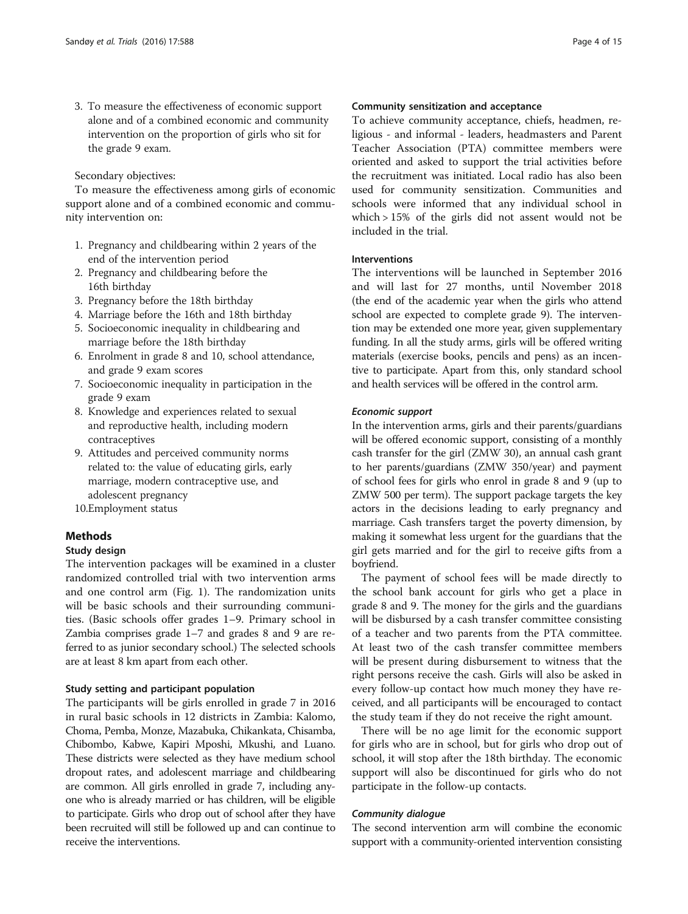3. To measure the effectiveness of economic support alone and of a combined economic and community intervention on the proportion of girls who sit for the grade 9 exam.

## Secondary objectives:

To measure the effectiveness among girls of economic support alone and of a combined economic and community intervention on:

- 1. Pregnancy and childbearing within 2 years of the end of the intervention period
- 2. Pregnancy and childbearing before the 16th birthday
- 3. Pregnancy before the 18th birthday
- 4. Marriage before the 16th and 18th birthday
- 5. Socioeconomic inequality in childbearing and marriage before the 18th birthday
- 6. Enrolment in grade 8 and 10, school attendance, and grade 9 exam scores
- 7. Socioeconomic inequality in participation in the grade 9 exam
- 8. Knowledge and experiences related to sexual and reproductive health, including modern contraceptives
- 9. Attitudes and perceived community norms related to: the value of educating girls, early marriage, modern contraceptive use, and adolescent pregnancy
- 10.Employment status

## Methods

## Study design

The intervention packages will be examined in a cluster randomized controlled trial with two intervention arms and one control arm (Fig. [1](#page-4-0)). The randomization units will be basic schools and their surrounding communities. (Basic schools offer grades 1–9. Primary school in Zambia comprises grade 1–7 and grades 8 and 9 are referred to as junior secondary school.) The selected schools are at least 8 km apart from each other.

## Study setting and participant population

The participants will be girls enrolled in grade 7 in 2016 in rural basic schools in 12 districts in Zambia: Kalomo, Choma, Pemba, Monze, Mazabuka, Chikankata, Chisamba, Chibombo, Kabwe, Kapiri Mposhi, Mkushi, and Luano. These districts were selected as they have medium school dropout rates, and adolescent marriage and childbearing are common. All girls enrolled in grade 7, including anyone who is already married or has children, will be eligible to participate. Girls who drop out of school after they have been recruited will still be followed up and can continue to receive the interventions.

## Community sensitization and acceptance

To achieve community acceptance, chiefs, headmen, religious - and informal - leaders, headmasters and Parent Teacher Association (PTA) committee members were oriented and asked to support the trial activities before the recruitment was initiated. Local radio has also been used for community sensitization. Communities and schools were informed that any individual school in which > 15% of the girls did not assent would not be included in the trial.

## Interventions

The interventions will be launched in September 2016 and will last for 27 months, until November 2018 (the end of the academic year when the girls who attend school are expected to complete grade 9). The intervention may be extended one more year, given supplementary funding. In all the study arms, girls will be offered writing materials (exercise books, pencils and pens) as an incentive to participate. Apart from this, only standard school and health services will be offered in the control arm.

### Economic support

In the intervention arms, girls and their parents/guardians will be offered economic support, consisting of a monthly cash transfer for the girl (ZMW 30), an annual cash grant to her parents/guardians (ZMW 350/year) and payment of school fees for girls who enrol in grade 8 and 9 (up to ZMW 500 per term). The support package targets the key actors in the decisions leading to early pregnancy and marriage. Cash transfers target the poverty dimension, by making it somewhat less urgent for the guardians that the girl gets married and for the girl to receive gifts from a boyfriend.

The payment of school fees will be made directly to the school bank account for girls who get a place in grade 8 and 9. The money for the girls and the guardians will be disbursed by a cash transfer committee consisting of a teacher and two parents from the PTA committee. At least two of the cash transfer committee members will be present during disbursement to witness that the right persons receive the cash. Girls will also be asked in every follow-up contact how much money they have received, and all participants will be encouraged to contact the study team if they do not receive the right amount.

There will be no age limit for the economic support for girls who are in school, but for girls who drop out of school, it will stop after the 18th birthday. The economic support will also be discontinued for girls who do not participate in the follow-up contacts.

## Community dialogue

The second intervention arm will combine the economic support with a community-oriented intervention consisting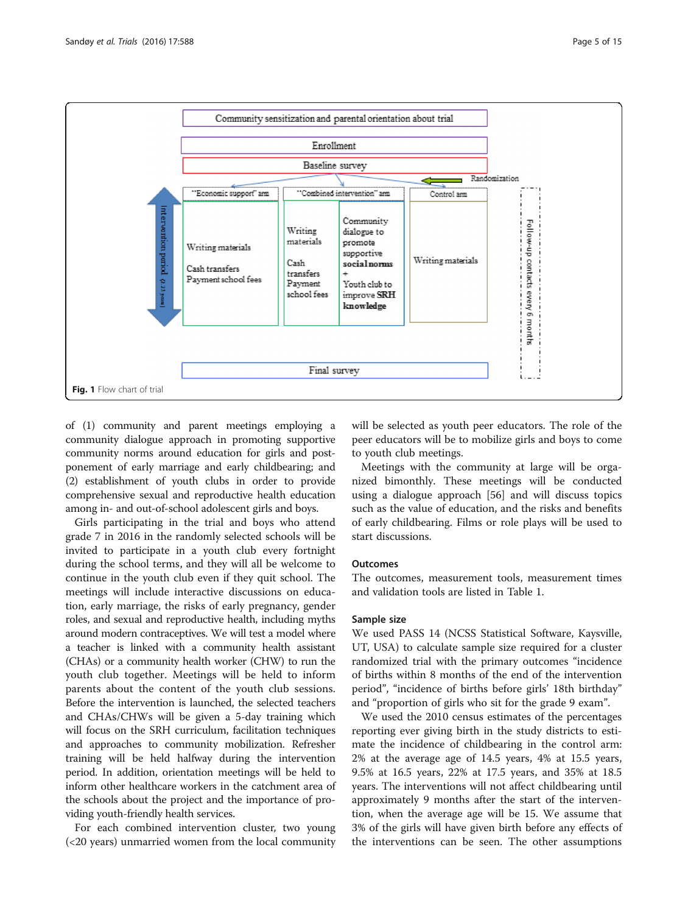<span id="page-4-0"></span>

of (1) community and parent meetings employing a community dialogue approach in promoting supportive community norms around education for girls and postponement of early marriage and early childbearing; and (2) establishment of youth clubs in order to provide comprehensive sexual and reproductive health education among in- and out-of-school adolescent girls and boys.

Girls participating in the trial and boys who attend grade 7 in 2016 in the randomly selected schools will be invited to participate in a youth club every fortnight during the school terms, and they will all be welcome to continue in the youth club even if they quit school. The meetings will include interactive discussions on education, early marriage, the risks of early pregnancy, gender roles, and sexual and reproductive health, including myths around modern contraceptives. We will test a model where a teacher is linked with a community health assistant (CHAs) or a community health worker (CHW) to run the youth club together. Meetings will be held to inform parents about the content of the youth club sessions. Before the intervention is launched, the selected teachers and CHAs/CHWs will be given a 5-day training which will focus on the SRH curriculum, facilitation techniques and approaches to community mobilization. Refresher training will be held halfway during the intervention period. In addition, orientation meetings will be held to inform other healthcare workers in the catchment area of the schools about the project and the importance of providing youth-friendly health services.

For each combined intervention cluster, two young (<20 years) unmarried women from the local community will be selected as youth peer educators. The role of the peer educators will be to mobilize girls and boys to come to youth club meetings.

Meetings with the community at large will be organized bimonthly. These meetings will be conducted using a dialogue approach [[56](#page-14-0)] and will discuss topics such as the value of education, and the risks and benefits of early childbearing. Films or role plays will be used to start discussions.

#### **Outcomes**

The outcomes, measurement tools, measurement times and validation tools are listed in Table [1](#page-5-0).

#### Sample size

We used PASS 14 (NCSS Statistical Software, Kaysville, UT, USA) to calculate sample size required for a cluster randomized trial with the primary outcomes "incidence of births within 8 months of the end of the intervention period", "incidence of births before girls' 18th birthday" and "proportion of girls who sit for the grade 9 exam".

We used the 2010 census estimates of the percentages reporting ever giving birth in the study districts to estimate the incidence of childbearing in the control arm: 2% at the average age of 14.5 years, 4% at 15.5 years, 9.5% at 16.5 years, 22% at 17.5 years, and 35% at 18.5 years. The interventions will not affect childbearing until approximately 9 months after the start of the intervention, when the average age will be 15. We assume that 3% of the girls will have given birth before any effects of the interventions can be seen. The other assumptions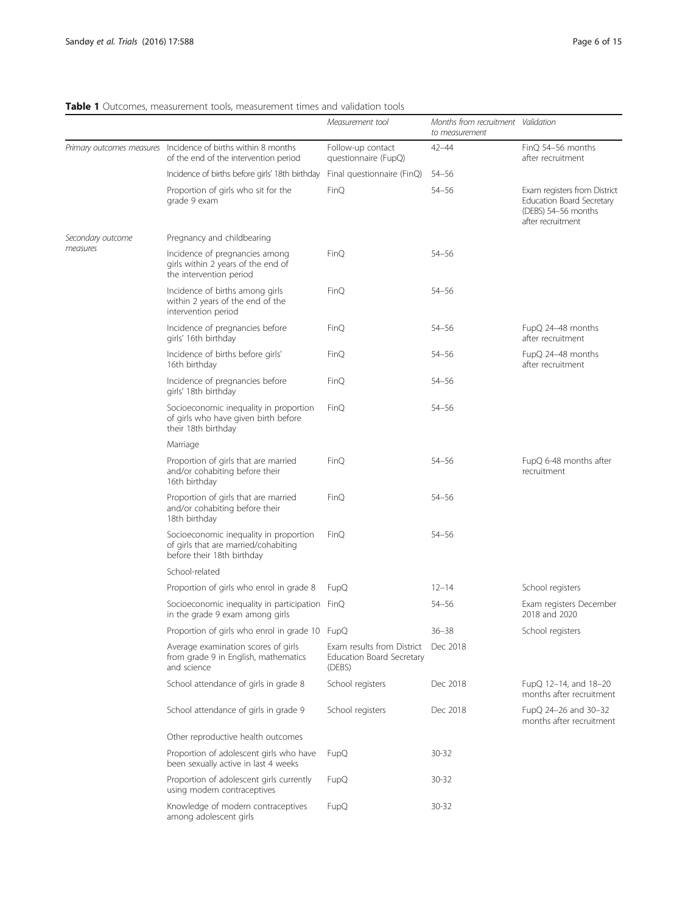## <span id="page-5-0"></span>Table 1 Outcomes, measurement tools, measurement times and validation tools

|                   |                                                                                                              | Measurement tool                                                           | Months from recruitment Validation<br>to measurement |                                                                                                       |
|-------------------|--------------------------------------------------------------------------------------------------------------|----------------------------------------------------------------------------|------------------------------------------------------|-------------------------------------------------------------------------------------------------------|
|                   | Primary outcomes measures Incidence of births within 8 months<br>of the end of the intervention period       | Follow-up contact<br>questionnaire (FupQ)                                  | $42 - 44$                                            | FinQ 54-56 months<br>after recruitment                                                                |
|                   | Incidence of births before girls' 18th birthday                                                              | Final questionnaire (FinQ)                                                 | 54-56                                                |                                                                                                       |
|                   | Proportion of girls who sit for the<br>grade 9 exam                                                          | FinQ                                                                       | $54 - 56$                                            | Exam registers from District<br>Education Board Secretary<br>(DEBS) 54-56 months<br>after recruitment |
| Secondary outcome | Pregnancy and childbearing                                                                                   |                                                                            |                                                      |                                                                                                       |
| measures          | Incidence of pregnancies among<br>girls within 2 years of the end of<br>the intervention period              | FinQ                                                                       | $54 - 56$                                            |                                                                                                       |
|                   | Incidence of births among girls<br>within 2 years of the end of the<br>intervention period                   | FinQ                                                                       | $54 - 56$                                            |                                                                                                       |
|                   | Incidence of pregnancies before<br>girls' 16th birthday                                                      | FinQ                                                                       | 54-56                                                | FupQ 24-48 months<br>after recruitment                                                                |
|                   | Incidence of births before girls'<br>16th birthday                                                           | FinQ                                                                       | $54 - 56$                                            | FupQ 24-48 months<br>after recruitment                                                                |
|                   | Incidence of pregnancies before<br>girls' 18th birthday                                                      | FinQ                                                                       | $54 - 56$                                            |                                                                                                       |
|                   | Socioeconomic inequality in proportion<br>of girls who have given birth before<br>their 18th birthday        | FinQ                                                                       | $54 - 56$                                            |                                                                                                       |
|                   | Marriage                                                                                                     |                                                                            |                                                      |                                                                                                       |
|                   | Proportion of girls that are married<br>and/or cohabiting before their<br>16th birthday                      | FinQ                                                                       | $54 - 56$                                            | FupQ 6-48 months after<br>recruitment                                                                 |
|                   | Proportion of girls that are married<br>and/or cohabiting before their<br>18th birthday                      | FinQ                                                                       | 54-56                                                |                                                                                                       |
|                   | Socioeconomic inequality in proportion<br>of girls that are married/cohabiting<br>before their 18th birthday | FinQ                                                                       | $54 - 56$                                            |                                                                                                       |
|                   | School-related                                                                                               |                                                                            |                                                      |                                                                                                       |
|                   | Proportion of girls who enrol in grade 8                                                                     | FupQ                                                                       | $12 - 14$                                            | School registers                                                                                      |
|                   | Socioeconomic inequality in participation FinQ<br>in the grade 9 exam among girls                            |                                                                            | $54 - 56$                                            | Exam registers December<br>2018 and 2020                                                              |
|                   | Proportion of girls who enrol in grade 10 FupQ                                                               |                                                                            | $36 - 38$                                            | School registers                                                                                      |
|                   | Average examination scores of girls<br>from grade 9 in English, mathematics<br>and science                   | Exam results from District Dec 2018<br>Education Board Secretary<br>(DEBS) |                                                      |                                                                                                       |
|                   | School attendance of girls in grade 8                                                                        | School registers                                                           | Dec 2018                                             | FupQ 12-14, and 18-20<br>months after recruitment                                                     |
|                   | School attendance of girls in grade 9                                                                        | School registers                                                           | Dec 2018                                             | FupQ 24-26 and 30-32<br>months after recruitment                                                      |
|                   | Other reproductive health outcomes                                                                           |                                                                            |                                                      |                                                                                                       |
|                   | Proportion of adolescent girls who have<br>been sexually active in last 4 weeks                              | FupQ                                                                       | $30 - 32$                                            |                                                                                                       |
|                   | Proportion of adolescent girls currently<br>using modern contraceptives                                      | FupQ                                                                       | $30 - 32$                                            |                                                                                                       |
|                   | Knowledge of modern contraceptives<br>among adolescent girls                                                 | FupQ                                                                       | $30 - 32$                                            |                                                                                                       |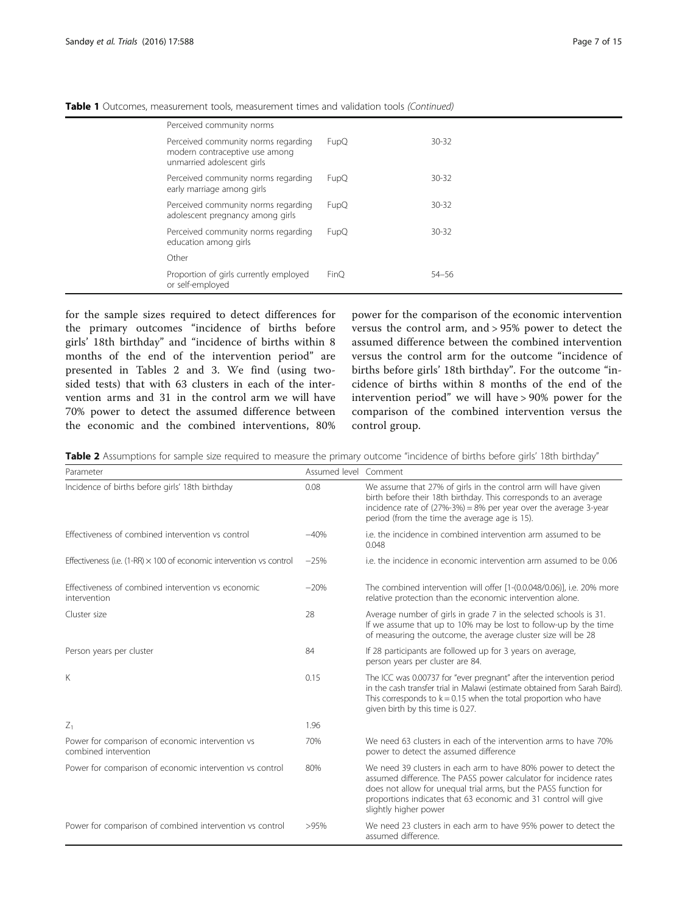| Perceived community norms                                                                           |      |           |
|-----------------------------------------------------------------------------------------------------|------|-----------|
| Perceived community norms regarding<br>modern contraceptive use among<br>unmarried adolescent girls | FupQ | $30 - 32$ |
| Perceived community norms regarding<br>early marriage among girls                                   | FupQ | $30 - 32$ |
| Perceived community norms regarding<br>adolescent pregnancy among girls                             | FupQ | $30 - 32$ |
| Perceived community norms regarding<br>education among girls                                        | FupQ | $30 - 32$ |
| Other                                                                                               |      |           |
| Proportion of girls currently employed<br>or self-employed                                          | FinO | $54 - 56$ |
|                                                                                                     |      |           |

Table 1 Outcomes, measurement tools, measurement times and validation tools (Continued)

for the sample sizes required to detect differences for the primary outcomes "incidence of births before girls' 18th birthday" and "incidence of births within 8 months of the end of the intervention period" are presented in Tables 2 and [3](#page-7-0). We find (using twosided tests) that with 63 clusters in each of the intervention arms and 31 in the control arm we will have 70% power to detect the assumed difference between the economic and the combined interventions, 80%

power for the comparison of the economic intervention versus the control arm, and > 95% power to detect the assumed difference between the combined intervention versus the control arm for the outcome "incidence of births before girls' 18th birthday". For the outcome "incidence of births within 8 months of the end of the intervention period" we will have > 90% power for the comparison of the combined intervention versus the control group.

Table 2 Assumptions for sample size required to measure the primary outcome "incidence of births before girls' 18th birthday"

| Parameter                                                                   | Assumed level Comment |                                                                                                                                                                                                                                                                                                      |
|-----------------------------------------------------------------------------|-----------------------|------------------------------------------------------------------------------------------------------------------------------------------------------------------------------------------------------------------------------------------------------------------------------------------------------|
| Incidence of births before girls' 18th birthday                             | 0.08                  | We assume that 27% of girls in the control arm will have given<br>birth before their 18th birthday. This corresponds to an average<br>incidence rate of $(27\% -3\%) = 8\%$ per year over the average 3-year<br>period (from the time the average age is 15).                                        |
| Effectiveness of combined intervention vs control                           | $-40%$                | i.e. the incidence in combined intervention arm assumed to be<br>0.048                                                                                                                                                                                                                               |
| Effectiveness (i.e. (1-RR) $\times$ 100 of economic intervention vs control | $-25%$                | i.e. the incidence in economic intervention arm assumed to be 0.06                                                                                                                                                                                                                                   |
| Effectiveness of combined intervention vs economic<br>intervention          | $-20%$                | The combined intervention will offer [1-(0.0.048/0.06)], i.e. 20% more<br>relative protection than the economic intervention alone.                                                                                                                                                                  |
| Cluster size                                                                | 28                    | Average number of girls in grade 7 in the selected schools is 31.<br>If we assume that up to 10% may be lost to follow-up by the time<br>of measuring the outcome, the average cluster size will be 28                                                                                               |
| Person years per cluster                                                    | 84                    | If 28 participants are followed up for 3 years on average,<br>person years per cluster are 84.                                                                                                                                                                                                       |
| К                                                                           | 0.15                  | The ICC was 0.00737 for "ever pregnant" after the intervention period<br>in the cash transfer trial in Malawi (estimate obtained from Sarah Baird).<br>This corresponds to $k = 0.15$ when the total proportion who have<br>given birth by this time is 0.27.                                        |
| $Z_1$                                                                       | 1.96                  |                                                                                                                                                                                                                                                                                                      |
| Power for comparison of economic intervention vs<br>combined intervention   | 70%                   | We need 63 clusters in each of the intervention arms to have 70%<br>power to detect the assumed difference                                                                                                                                                                                           |
| Power for comparison of economic intervention vs control                    | 80%                   | We need 39 clusters in each arm to have 80% power to detect the<br>assumed difference. The PASS power calculator for incidence rates<br>does not allow for unequal trial arms, but the PASS function for<br>proportions indicates that 63 economic and 31 control will give<br>slightly higher power |
| Power for comparison of combined intervention vs control                    | >95%                  | We need 23 clusters in each arm to have 95% power to detect the<br>assumed difference.                                                                                                                                                                                                               |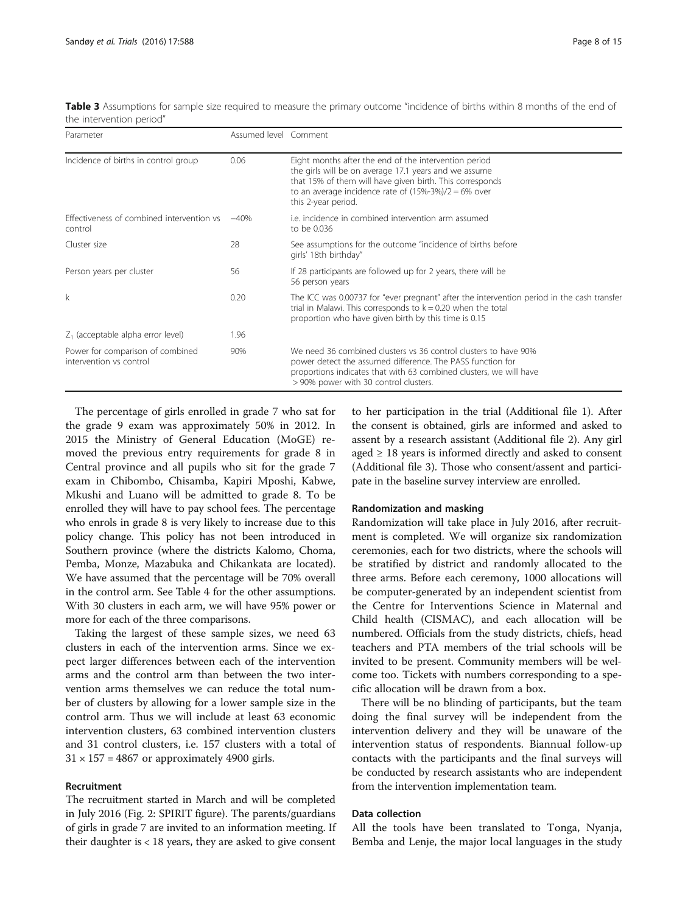| Parameter                                                   | Assumed level Comment |                                                                                                                                                                                                                                                                  |
|-------------------------------------------------------------|-----------------------|------------------------------------------------------------------------------------------------------------------------------------------------------------------------------------------------------------------------------------------------------------------|
| Incidence of births in control group                        | 0.06                  | Eight months after the end of the intervention period<br>the girls will be on average 17.1 years and we assume<br>that 15% of them will have given birth. This corresponds<br>to an average incidence rate of $(15\% - 3\%)/2 = 6\%$ over<br>this 2-year period. |
| Effectiveness of combined intervention vs<br>control        | $-40%$                | i.e. incidence in combined intervention arm assumed<br>to be 0.036                                                                                                                                                                                               |
| Cluster size                                                | 28                    | See assumptions for the outcome "incidence of births before<br>girls' 18th birthday"                                                                                                                                                                             |
| Person years per cluster                                    | 56                    | If 28 participants are followed up for 2 years, there will be<br>56 person years                                                                                                                                                                                 |
| k<br>0.20                                                   |                       | The ICC was 0.00737 for "ever pregnant" after the intervention period in the cash transfer<br>trial in Malawi. This corresponds to $k = 0.20$ when the total<br>proportion who have given birth by this time is 0.15                                             |
| $Z_1$ (acceptable alpha error level)                        | 1.96                  |                                                                                                                                                                                                                                                                  |
| Power for comparison of combined<br>intervention vs control | 90%                   | We need 36 combined clusters vs 36 control clusters to have 90%<br>power detect the assumed difference. The PASS function for<br>proportions indicates that with 63 combined clusters, we will have<br>> 90% power with 30 control clusters.                     |

<span id="page-7-0"></span>Table 3 Assumptions for sample size required to measure the primary outcome "incidence of births within 8 months of the end of the intervention period"

The percentage of girls enrolled in grade 7 who sat for the grade 9 exam was approximately 50% in 2012. In 2015 the Ministry of General Education (MoGE) removed the previous entry requirements for grade 8 in Central province and all pupils who sit for the grade 7 exam in Chibombo, Chisamba, Kapiri Mposhi, Kabwe, Mkushi and Luano will be admitted to grade 8. To be enrolled they will have to pay school fees. The percentage who enrols in grade 8 is very likely to increase due to this policy change. This policy has not been introduced in Southern province (where the districts Kalomo, Choma, Pemba, Monze, Mazabuka and Chikankata are located). We have assumed that the percentage will be 70% overall in the control arm. See Table [4](#page-8-0) for the other assumptions. With 30 clusters in each arm, we will have 95% power or more for each of the three comparisons.

Taking the largest of these sample sizes, we need 63 clusters in each of the intervention arms. Since we expect larger differences between each of the intervention arms and the control arm than between the two intervention arms themselves we can reduce the total number of clusters by allowing for a lower sample size in the control arm. Thus we will include at least 63 economic intervention clusters, 63 combined intervention clusters and 31 control clusters, i.e. 157 clusters with a total of  $31 \times 157 = 4867$  or approximately 4900 girls.

## Recruitment

The recruitment started in March and will be completed in July 2016 (Fig. [2](#page-8-0): SPIRIT figure). The parents/guardians of girls in grade 7 are invited to an information meeting. If their daughter is  $<$  18 years, they are asked to give consent to her participation in the trial (Additional file [1\)](#page-12-0). After the consent is obtained, girls are informed and asked to assent by a research assistant (Additional file [2\)](#page-12-0). Any girl aged  $\geq$  18 years is informed directly and asked to consent (Additional file [3](#page-12-0)). Those who consent/assent and participate in the baseline survey interview are enrolled.

#### Randomization and masking

Randomization will take place in July 2016, after recruitment is completed. We will organize six randomization ceremonies, each for two districts, where the schools will be stratified by district and randomly allocated to the three arms. Before each ceremony, 1000 allocations will be computer-generated by an independent scientist from the Centre for Interventions Science in Maternal and Child health (CISMAC), and each allocation will be numbered. Officials from the study districts, chiefs, head teachers and PTA members of the trial schools will be invited to be present. Community members will be welcome too. Tickets with numbers corresponding to a specific allocation will be drawn from a box.

There will be no blinding of participants, but the team doing the final survey will be independent from the intervention delivery and they will be unaware of the intervention status of respondents. Biannual follow-up contacts with the participants and the final surveys will be conducted by research assistants who are independent from the intervention implementation team.

## Data collection

All the tools have been translated to Tonga, Nyanja, Bemba and Lenje, the major local languages in the study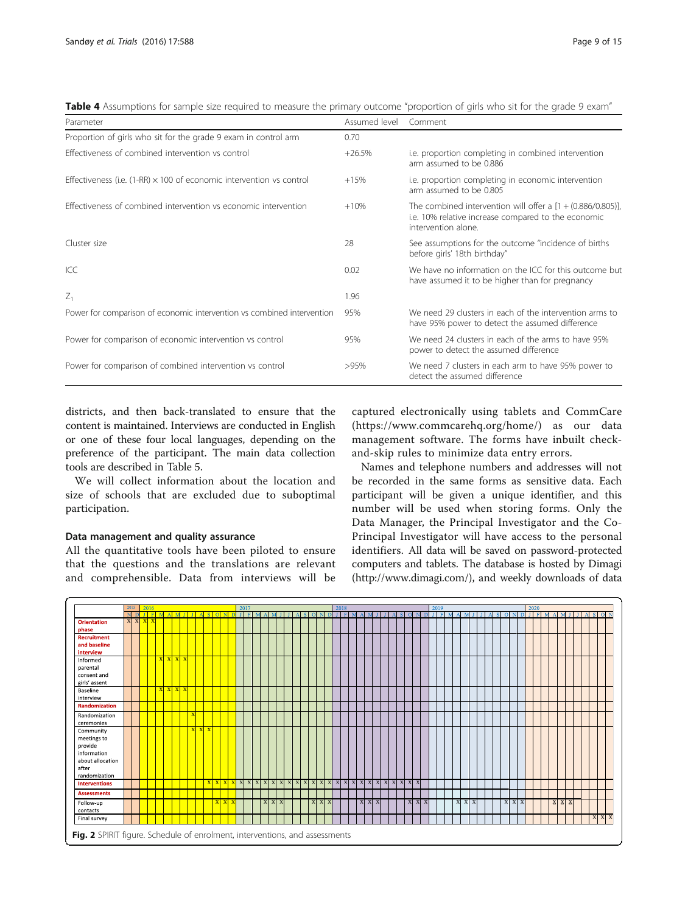<span id="page-8-0"></span>Table 4 Assumptions for sample size required to measure the primary outcome "proportion of girls who sit for the grade 9 exam"

| Parameter                                                                   | Assumed level | Comment                                                                                                                                     |
|-----------------------------------------------------------------------------|---------------|---------------------------------------------------------------------------------------------------------------------------------------------|
| Proportion of girls who sit for the grade 9 exam in control arm             | 0.70          |                                                                                                                                             |
| Effectiveness of combined intervention vs control                           | $+26.5%$      | i.e. proportion completing in combined intervention<br>arm assumed to be 0.886                                                              |
| Effectiveness (i.e. (1-RR) $\times$ 100 of economic intervention vs control | $+15%$        | i.e. proportion completing in economic intervention<br>arm assumed to be 0.805                                                              |
| Effectiveness of combined intervention vs economic intervention             | $+10%$        | The combined intervention will offer a $[1 + (0.886/0.805)],$<br>i.e. 10% relative increase compared to the economic<br>intervention alone. |
| Cluster size                                                                | 28            | See assumptions for the outcome "incidence of births<br>before girls' 18th birthday"                                                        |
| ICC                                                                         | 0.02          | We have no information on the ICC for this outcome but<br>have assumed it to be higher than for pregnancy                                   |
| $Z_1$                                                                       | 1.96          |                                                                                                                                             |
| Power for comparison of economic intervention vs combined intervention      | 95%           | We need 29 clusters in each of the intervention arms to<br>have 95% power to detect the assumed difference                                  |
| Power for comparison of economic intervention vs control                    | 95%           | We need 24 clusters in each of the arms to have 95%<br>power to detect the assumed difference                                               |
| Power for comparison of combined intervention vs control                    | >95%          | We need 7 clusters in each arm to have 95% power to<br>detect the assumed difference                                                        |

districts, and then back-translated to ensure that the content is maintained. Interviews are conducted in English or one of these four local languages, depending on the preference of the participant. The main data collection tools are described in Table [5](#page-9-0).

We will collect information about the location and size of schools that are excluded due to suboptimal participation.

## Data management and quality assurance

All the quantitative tools have been piloted to ensure that the questions and the translations are relevant and comprehensible. Data from interviews will be captured electronically using tablets and CommCare (<https://www.commcarehq.org/home/>) as our data management software. The forms have inbuilt checkand-skip rules to minimize data entry errors.

Names and telephone numbers and addresses will not be recorded in the same forms as sensitive data. Each participant will be given a unique identifier, and this number will be used when storing forms. Only the Data Manager, the Principal Investigator and the Co-Principal Investigator will have access to the personal identifiers. All data will be saved on password-protected computers and tablets. The database is hosted by Dimagi ([http://www.dimagi.com/\)](http://www.dimagi.com/), and weekly downloads of data

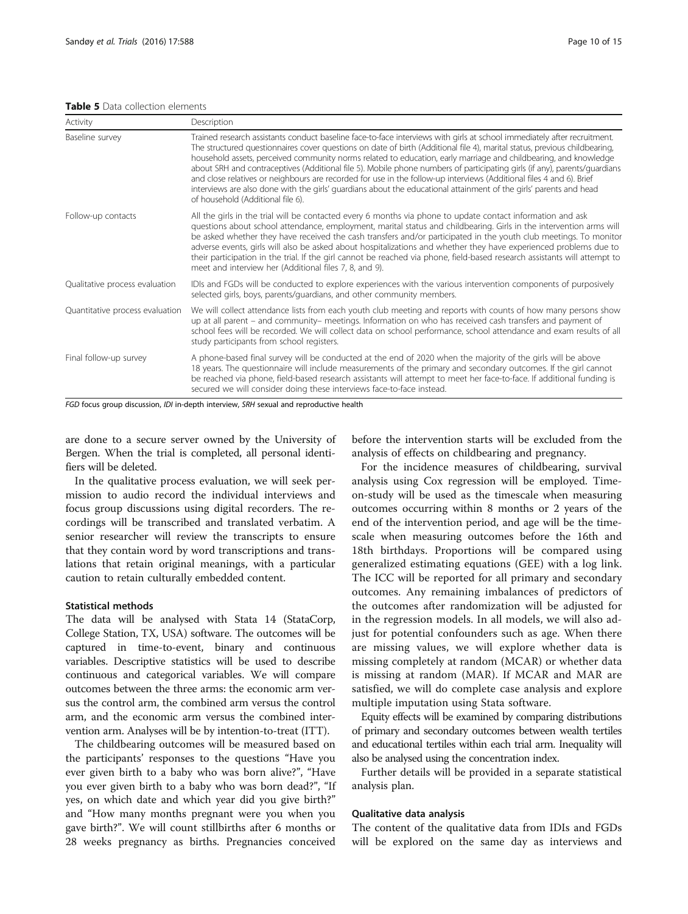#### <span id="page-9-0"></span>Table 5 Data collection elements

| Activity                        | Description                                                                                                                                                                                                                                                                                                                                                                                                                                                                                                                                                                                                                                                                                                                                                                                |
|---------------------------------|--------------------------------------------------------------------------------------------------------------------------------------------------------------------------------------------------------------------------------------------------------------------------------------------------------------------------------------------------------------------------------------------------------------------------------------------------------------------------------------------------------------------------------------------------------------------------------------------------------------------------------------------------------------------------------------------------------------------------------------------------------------------------------------------|
| Baseline survey                 | Trained research assistants conduct baseline face-to-face interviews with girls at school immediately after recruitment.<br>The structured questionnaires cover questions on date of birth (Additional file 4), marital status, previous childbearing,<br>household assets, perceived community norms related to education, early marriage and childbearing, and knowledge<br>about SRH and contraceptives (Additional file 5). Mobile phone numbers of participating girls (if any), parents/guardians<br>and close relatives or neighbours are recorded for use in the follow-up interviews (Additional files 4 and 6). Brief<br>interviews are also done with the girls' quardians about the educational attainment of the girls' parents and head<br>of household (Additional file 6). |
| Follow-up contacts              | All the girls in the trial will be contacted every 6 months via phone to update contact information and ask<br>questions about school attendance, employment, marital status and childbearing. Girls in the intervention arms will<br>be asked whether they have received the cash transfers and/or participated in the youth club meetings. To monitor<br>adverse events, girls will also be asked about hospitalizations and whether they have experienced problems due to<br>their participation in the trial. If the girl cannot be reached via phone, field-based research assistants will attempt to<br>meet and interview her (Additional files 7, 8, and 9).                                                                                                                       |
| Qualitative process evaluation  | IDIs and FGDs will be conducted to explore experiences with the various intervention components of purposively<br>selected girls, boys, parents/guardians, and other community members.                                                                                                                                                                                                                                                                                                                                                                                                                                                                                                                                                                                                    |
| Quantitative process evaluation | We will collect attendance lists from each youth club meeting and reports with counts of how many persons show<br>up at all parent – and community– meetings. Information on who has received cash transfers and payment of<br>school fees will be recorded. We will collect data on school performance, school attendance and exam results of all<br>study participants from school registers.                                                                                                                                                                                                                                                                                                                                                                                            |
| Final follow-up survey          | A phone-based final survey will be conducted at the end of 2020 when the majority of the girls will be above<br>18 years. The questionnaire will include measurements of the primary and secondary outcomes. If the girl cannot<br>be reached via phone, field-based research assistants will attempt to meet her face-to-face. If additional funding is<br>secured we will consider doing these interviews face-to-face instead.                                                                                                                                                                                                                                                                                                                                                          |

FGD focus group discussion, IDI in-depth interview, SRH sexual and reproductive health

are done to a secure server owned by the University of Bergen. When the trial is completed, all personal identifiers will be deleted.

In the qualitative process evaluation, we will seek permission to audio record the individual interviews and focus group discussions using digital recorders. The recordings will be transcribed and translated verbatim. A senior researcher will review the transcripts to ensure that they contain word by word transcriptions and translations that retain original meanings, with a particular caution to retain culturally embedded content.

## Statistical methods

The data will be analysed with Stata 14 (StataCorp, College Station, TX, USA) software. The outcomes will be captured in time-to-event, binary and continuous variables. Descriptive statistics will be used to describe continuous and categorical variables. We will compare outcomes between the three arms: the economic arm versus the control arm, the combined arm versus the control arm, and the economic arm versus the combined intervention arm. Analyses will be by intention-to-treat (ITT).

The childbearing outcomes will be measured based on the participants' responses to the questions "Have you ever given birth to a baby who was born alive?", "Have you ever given birth to a baby who was born dead?", "If yes, on which date and which year did you give birth?" and "How many months pregnant were you when you gave birth?". We will count stillbirths after 6 months or 28 weeks pregnancy as births. Pregnancies conceived

before the intervention starts will be excluded from the analysis of effects on childbearing and pregnancy.

For the incidence measures of childbearing, survival analysis using Cox regression will be employed. Timeon-study will be used as the timescale when measuring outcomes occurring within 8 months or 2 years of the end of the intervention period, and age will be the timescale when measuring outcomes before the 16th and 18th birthdays. Proportions will be compared using generalized estimating equations (GEE) with a log link. The ICC will be reported for all primary and secondary outcomes. Any remaining imbalances of predictors of the outcomes after randomization will be adjusted for in the regression models. In all models, we will also adjust for potential confounders such as age. When there are missing values, we will explore whether data is missing completely at random (MCAR) or whether data is missing at random (MAR). If MCAR and MAR are satisfied, we will do complete case analysis and explore multiple imputation using Stata software.

Equity effects will be examined by comparing distributions of primary and secondary outcomes between wealth tertiles and educational tertiles within each trial arm. Inequality will also be analysed using the concentration index.

Further details will be provided in a separate statistical analysis plan.

#### Qualitative data analysis

The content of the qualitative data from IDIs and FGDs will be explored on the same day as interviews and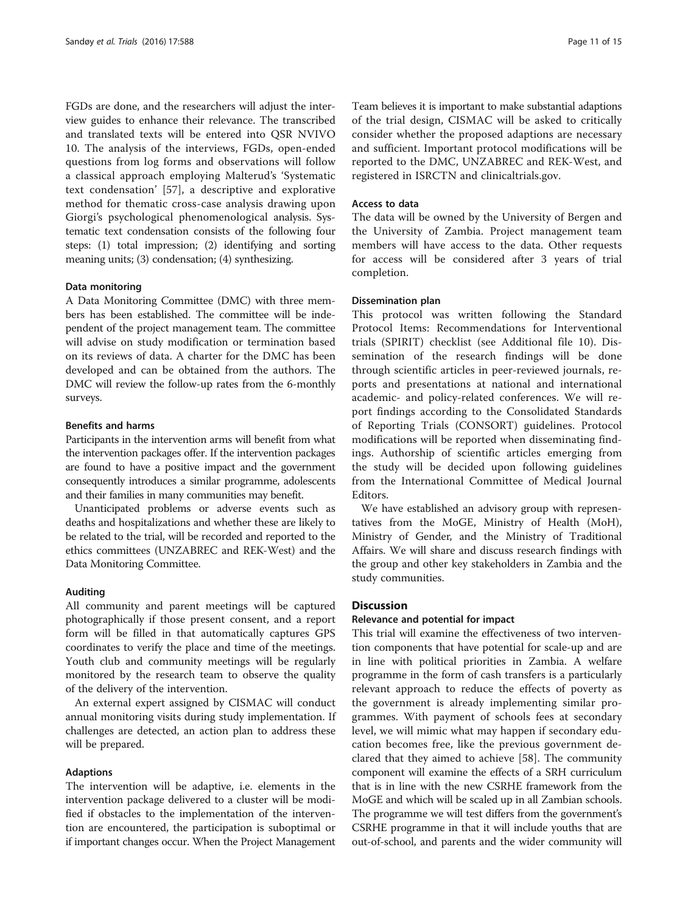FGDs are done, and the researchers will adjust the interview guides to enhance their relevance. The transcribed and translated texts will be entered into QSR NVIVO 10. The analysis of the interviews, FGDs, open-ended questions from log forms and observations will follow a classical approach employing Malterud's 'Systematic text condensation' [[57](#page-14-0)], a descriptive and explorative method for thematic cross-case analysis drawing upon Giorgi's psychological phenomenological analysis. Systematic text condensation consists of the following four steps: (1) total impression; (2) identifying and sorting meaning units; (3) condensation; (4) synthesizing.

### Data monitoring

A Data Monitoring Committee (DMC) with three members has been established. The committee will be independent of the project management team. The committee will advise on study modification or termination based on its reviews of data. A charter for the DMC has been developed and can be obtained from the authors. The DMC will review the follow-up rates from the 6-monthly surveys.

## Benefits and harms

Participants in the intervention arms will benefit from what the intervention packages offer. If the intervention packages are found to have a positive impact and the government consequently introduces a similar programme, adolescents and their families in many communities may benefit.

Unanticipated problems or adverse events such as deaths and hospitalizations and whether these are likely to be related to the trial, will be recorded and reported to the ethics committees (UNZABREC and REK-West) and the Data Monitoring Committee.

## Auditing

All community and parent meetings will be captured photographically if those present consent, and a report form will be filled in that automatically captures GPS coordinates to verify the place and time of the meetings. Youth club and community meetings will be regularly monitored by the research team to observe the quality of the delivery of the intervention.

An external expert assigned by CISMAC will conduct annual monitoring visits during study implementation. If challenges are detected, an action plan to address these will be prepared.

### Adaptions

The intervention will be adaptive, i.e. elements in the intervention package delivered to a cluster will be modified if obstacles to the implementation of the intervention are encountered, the participation is suboptimal or if important changes occur. When the Project Management

Team believes it is important to make substantial adaptions of the trial design, CISMAC will be asked to critically consider whether the proposed adaptions are necessary and sufficient. Important protocol modifications will be reported to the DMC, UNZABREC and REK-West, and registered in ISRCTN and clinicaltrials.gov.

## Access to data

The data will be owned by the University of Bergen and the University of Zambia. Project management team members will have access to the data. Other requests for access will be considered after 3 years of trial completion.

### Dissemination plan

This protocol was written following the Standard Protocol Items: Recommendations for Interventional trials (SPIRIT) checklist (see Additional file [10\)](#page-12-0). Dissemination of the research findings will be done through scientific articles in peer-reviewed journals, reports and presentations at national and international academic- and policy-related conferences. We will report findings according to the Consolidated Standards of Reporting Trials (CONSORT) guidelines. Protocol modifications will be reported when disseminating findings. Authorship of scientific articles emerging from the study will be decided upon following guidelines from the International Committee of Medical Journal Editors.

We have established an advisory group with representatives from the MoGE, Ministry of Health (MoH), Ministry of Gender, and the Ministry of Traditional Affairs. We will share and discuss research findings with the group and other key stakeholders in Zambia and the study communities.

## **Discussion**

## Relevance and potential for impact

This trial will examine the effectiveness of two intervention components that have potential for scale-up and are in line with political priorities in Zambia. A welfare programme in the form of cash transfers is a particularly relevant approach to reduce the effects of poverty as the government is already implementing similar programmes. With payment of schools fees at secondary level, we will mimic what may happen if secondary education becomes free, like the previous government declared that they aimed to achieve [\[58](#page-14-0)]. The community component will examine the effects of a SRH curriculum that is in line with the new CSRHE framework from the MoGE and which will be scaled up in all Zambian schools. The programme we will test differs from the government's CSRHE programme in that it will include youths that are out-of-school, and parents and the wider community will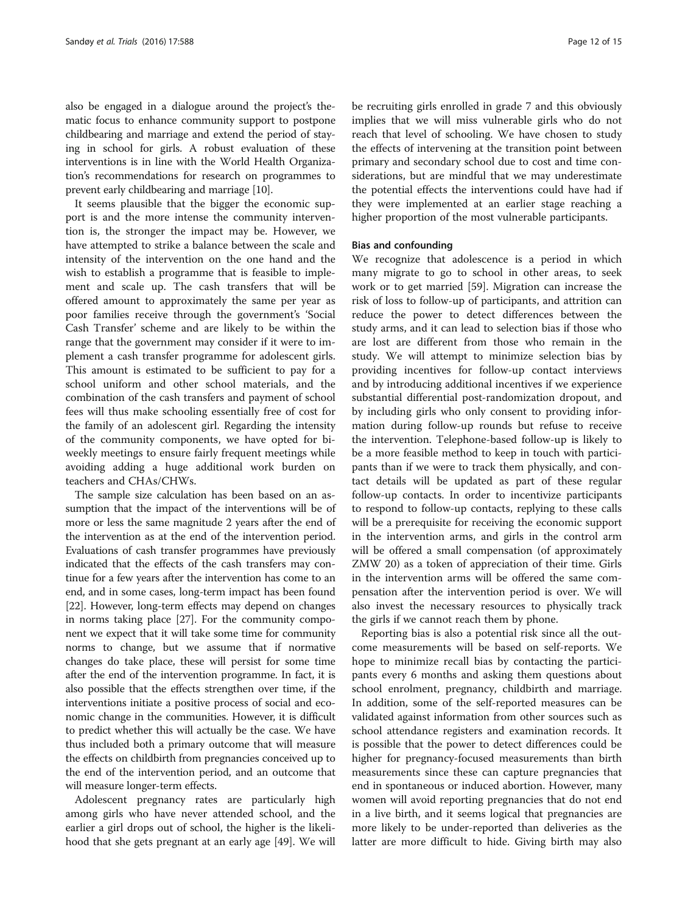also be engaged in a dialogue around the project's thematic focus to enhance community support to postpone childbearing and marriage and extend the period of staying in school for girls. A robust evaluation of these interventions is in line with the World Health Organization's recommendations for research on programmes to prevent early childbearing and marriage [\[10](#page-13-0)].

It seems plausible that the bigger the economic support is and the more intense the community intervention is, the stronger the impact may be. However, we have attempted to strike a balance between the scale and intensity of the intervention on the one hand and the wish to establish a programme that is feasible to implement and scale up. The cash transfers that will be offered amount to approximately the same per year as poor families receive through the government's 'Social Cash Transfer' scheme and are likely to be within the range that the government may consider if it were to implement a cash transfer programme for adolescent girls. This amount is estimated to be sufficient to pay for a school uniform and other school materials, and the combination of the cash transfers and payment of school fees will thus make schooling essentially free of cost for the family of an adolescent girl. Regarding the intensity of the community components, we have opted for biweekly meetings to ensure fairly frequent meetings while avoiding adding a huge additional work burden on teachers and CHAs/CHWs.

The sample size calculation has been based on an assumption that the impact of the interventions will be of more or less the same magnitude 2 years after the end of the intervention as at the end of the intervention period. Evaluations of cash transfer programmes have previously indicated that the effects of the cash transfers may continue for a few years after the intervention has come to an end, and in some cases, long-term impact has been found [[22](#page-13-0)]. However, long-term effects may depend on changes in norms taking place [\[27](#page-14-0)]. For the community component we expect that it will take some time for community norms to change, but we assume that if normative changes do take place, these will persist for some time after the end of the intervention programme. In fact, it is also possible that the effects strengthen over time, if the interventions initiate a positive process of social and economic change in the communities. However, it is difficult to predict whether this will actually be the case. We have thus included both a primary outcome that will measure the effects on childbirth from pregnancies conceived up to the end of the intervention period, and an outcome that will measure longer-term effects.

Adolescent pregnancy rates are particularly high among girls who have never attended school, and the earlier a girl drops out of school, the higher is the likelihood that she gets pregnant at an early age [\[49](#page-14-0)]. We will

be recruiting girls enrolled in grade 7 and this obviously implies that we will miss vulnerable girls who do not reach that level of schooling. We have chosen to study the effects of intervening at the transition point between primary and secondary school due to cost and time considerations, but are mindful that we may underestimate the potential effects the interventions could have had if they were implemented at an earlier stage reaching a higher proportion of the most vulnerable participants.

### Bias and confounding

We recognize that adolescence is a period in which many migrate to go to school in other areas, to seek work or to get married [[59\]](#page-14-0). Migration can increase the risk of loss to follow-up of participants, and attrition can reduce the power to detect differences between the study arms, and it can lead to selection bias if those who are lost are different from those who remain in the study. We will attempt to minimize selection bias by providing incentives for follow-up contact interviews and by introducing additional incentives if we experience substantial differential post-randomization dropout, and by including girls who only consent to providing information during follow-up rounds but refuse to receive the intervention. Telephone-based follow-up is likely to be a more feasible method to keep in touch with participants than if we were to track them physically, and contact details will be updated as part of these regular follow-up contacts. In order to incentivize participants to respond to follow-up contacts, replying to these calls will be a prerequisite for receiving the economic support in the intervention arms, and girls in the control arm will be offered a small compensation (of approximately ZMW 20) as a token of appreciation of their time. Girls in the intervention arms will be offered the same compensation after the intervention period is over. We will also invest the necessary resources to physically track the girls if we cannot reach them by phone.

Reporting bias is also a potential risk since all the outcome measurements will be based on self-reports. We hope to minimize recall bias by contacting the participants every 6 months and asking them questions about school enrolment, pregnancy, childbirth and marriage. In addition, some of the self-reported measures can be validated against information from other sources such as school attendance registers and examination records. It is possible that the power to detect differences could be higher for pregnancy-focused measurements than birth measurements since these can capture pregnancies that end in spontaneous or induced abortion. However, many women will avoid reporting pregnancies that do not end in a live birth, and it seems logical that pregnancies are more likely to be under-reported than deliveries as the latter are more difficult to hide. Giving birth may also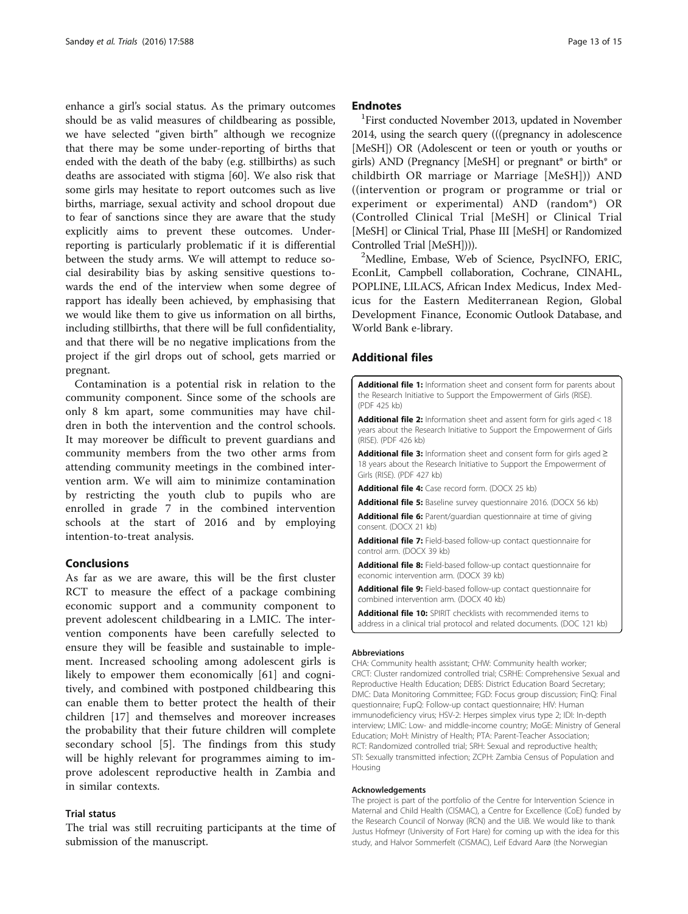<span id="page-12-0"></span>enhance a girl's social status. As the primary outcomes should be as valid measures of childbearing as possible, we have selected "given birth" although we recognize that there may be some under-reporting of births that ended with the death of the baby (e.g. stillbirths) as such deaths are associated with stigma [\[60\]](#page-14-0). We also risk that some girls may hesitate to report outcomes such as live births, marriage, sexual activity and school dropout due to fear of sanctions since they are aware that the study explicitly aims to prevent these outcomes. Underreporting is particularly problematic if it is differential between the study arms. We will attempt to reduce social desirability bias by asking sensitive questions towards the end of the interview when some degree of rapport has ideally been achieved, by emphasising that we would like them to give us information on all births, including stillbirths, that there will be full confidentiality, and that there will be no negative implications from the project if the girl drops out of school, gets married or pregnant.

Contamination is a potential risk in relation to the community component. Since some of the schools are only 8 km apart, some communities may have children in both the intervention and the control schools. It may moreover be difficult to prevent guardians and community members from the two other arms from attending community meetings in the combined intervention arm. We will aim to minimize contamination by restricting the youth club to pupils who are enrolled in grade 7 in the combined intervention schools at the start of 2016 and by employing intention-to-treat analysis.

## Conclusions

As far as we are aware, this will be the first cluster RCT to measure the effect of a package combining economic support and a community component to prevent adolescent childbearing in a LMIC. The intervention components have been carefully selected to ensure they will be feasible and sustainable to implement. Increased schooling among adolescent girls is likely to empower them economically [[61\]](#page-14-0) and cognitively, and combined with postponed childbearing this can enable them to better protect the health of their children [\[17](#page-13-0)] and themselves and moreover increases the probability that their future children will complete secondary school [[5](#page-13-0)]. The findings from this study will be highly relevant for programmes aiming to improve adolescent reproductive health in Zambia and in similar contexts.

## Trial status

The trial was still recruiting participants at the time of submission of the manuscript.

## **Endnotes**

<sup>1</sup>First conducted November 2013, updated in November 2014, using the search query (((pregnancy in adolescence [MeSH]) OR (Adolescent or teen or youth or youths or girls) AND (Pregnancy [MeSH] or pregnant\* or birth\* or childbirth OR marriage or Marriage [MeSH])) AND ((intervention or program or programme or trial or experiment or experimental) AND (random\*) OR (Controlled Clinical Trial [MeSH] or Clinical Trial [MeSH] or Clinical Trial, Phase III [MeSH] or Randomized Controlled Trial [MeSH]))). <sup>2</sup>

<sup>2</sup>Medline, Embase, Web of Science, PsycINFO, ERIC, EconLit, Campbell collaboration, Cochrane, CINAHL, POPLINE, LILACS, African Index Medicus, Index Medicus for the Eastern Mediterranean Region, Global Development Finance, Economic Outlook Database, and World Bank e-library.

## Additional files

[Additional file 1:](dx.doi.org/10.1186/s13063-016-1682-9) Information sheet and consent form for parents about the Research Initiative to Support the Empowerment of Girls (RISE). (PDF 425 kb) [Additional file 2:](dx.doi.org/10.1186/s13063-016-1682-9) Information sheet and assent form for girls aged < 18 years about the Research Initiative to Support the Empowerment of Girls (RISE). (PDF 426 kb) [Additional file 3:](dx.doi.org/10.1186/s13063-016-1682-9) Information sheet and consent form for girls aged ≥ 18 years about the Research Initiative to Support the Empowerment of Girls (RISE). (PDF 427 kb) [Additional file 4:](dx.doi.org/10.1186/s13063-016-1682-9) Case record form. (DOCX 25 kb) [Additional file 5:](dx.doi.org/10.1186/s13063-016-1682-9) Baseline survey questionnaire 2016. (DOCX 56 kb) [Additional file 6:](dx.doi.org/10.1186/s13063-016-1682-9) Parent/guardian questionnaire at time of giving consent. (DOCX 21 kb) [Additional file 7:](dx.doi.org/10.1186/s13063-016-1682-9) Field-based follow-up contact questionnaire for control arm. (DOCX 39 kb) [Additional file 8:](dx.doi.org/10.1186/s13063-016-1682-9) Field-based follow-up contact questionnaire for economic intervention arm. (DOCX 39 kb)

[Additional file 9:](dx.doi.org/10.1186/s13063-016-1682-9) Field-based follow-up contact questionnaire for combined intervention arm. (DOCX 40 kb)

[Additional file 10:](dx.doi.org/10.1186/s13063-016-1682-9) SPIRIT checklists with recommended items to address in a clinical trial protocol and related documents. (DOC 121 kb)

#### Abbreviations

CHA: Community health assistant; CHW: Community health worker; CRCT: Cluster randomized controlled trial; CSRHE: Comprehensive Sexual and Reproductive Health Education; DEBS: District Education Board Secretary; DMC: Data Monitoring Committee; FGD: Focus group discussion; FinQ: Final questionnaire; FupQ: Follow-up contact questionnaire; HIV: Human immunodeficiency virus; HSV-2: Herpes simplex virus type 2; IDI: In-depth interview; LMIC: Low- and middle-income country; MoGE: Ministry of General Education; MoH: Ministry of Health; PTA: Parent-Teacher Association; RCT: Randomized controlled trial; SRH: Sexual and reproductive health; STI: Sexually transmitted infection; ZCPH: Zambia Census of Population and Housing

#### Acknowledgements

The project is part of the portfolio of the Centre for Intervention Science in Maternal and Child Health (CISMAC), a Centre for Excellence (CoE) funded by the Research Council of Norway (RCN) and the UiB. We would like to thank Justus Hofmeyr (University of Fort Hare) for coming up with the idea for this study, and Halvor Sommerfelt (CISMAC), Leif Edvard Aarø (the Norwegian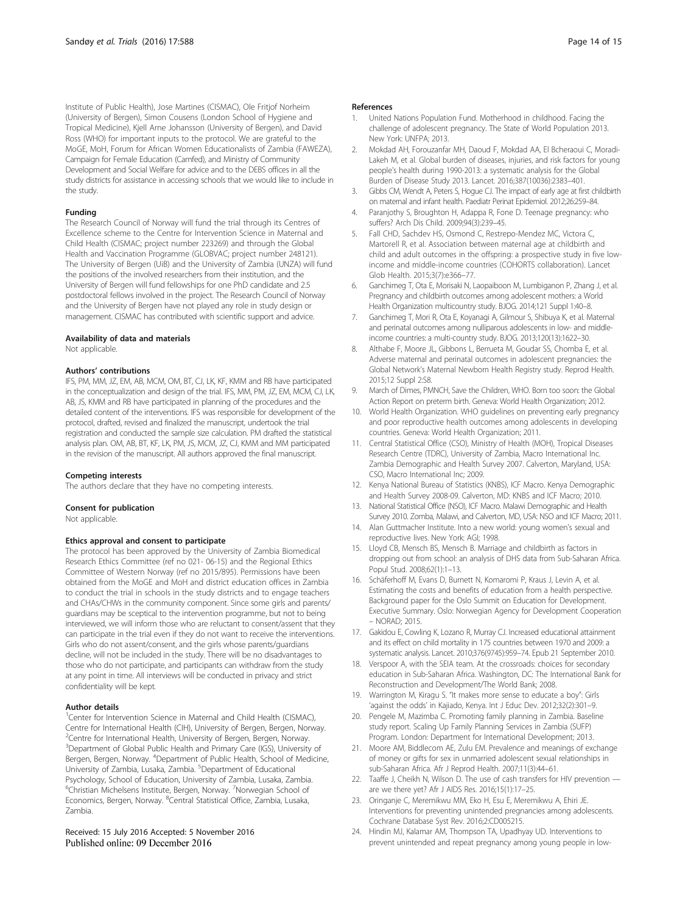<span id="page-13-0"></span>Institute of Public Health), Jose Martines (CISMAC), Ole Fritjof Norheim (University of Bergen), Simon Cousens (London School of Hygiene and Tropical Medicine), Kjell Arne Johansson (University of Bergen), and David Ross (WHO) for important inputs to the protocol. We are grateful to the MoGE, MoH, Forum for African Women Educationalists of Zambia (FAWEZA), Campaign for Female Education (Camfed), and Ministry of Community Development and Social Welfare for advice and to the DEBS offices in all the study districts for assistance in accessing schools that we would like to include in the study.

#### Funding

The Research Council of Norway will fund the trial through its Centres of Excellence scheme to the Centre for Intervention Science in Maternal and Child Health (CISMAC; project number 223269) and through the Global Health and Vaccination Programme (GLOBVAC; project number 248121). The University of Bergen (UiB) and the University of Zambia (UNZA) will fund the positions of the involved researchers from their institution, and the University of Bergen will fund fellowships for one PhD candidate and 2.5 postdoctoral fellows involved in the project. The Research Council of Norway and the University of Bergen have not played any role in study design or management. CISMAC has contributed with scientific support and advice.

#### Availability of data and materials

Not applicable.

### Authors' contributions

IFS, PM, MM, JZ, EM, AB, MCM, OM, BT, CJ, LK, KF, KMM and RB have participated in the conceptualization and design of the trial. IFS, MM, PM, JZ, EM, MCM, CJ, LK, AB, JS, KMM and RB have participated in planning of the procedures and the detailed content of the interventions. IFS was responsible for development of the protocol, drafted, revised and finalized the manuscript, undertook the trial registration and conducted the sample size calculation. PM drafted the statistical analysis plan. OM, AB, BT, KF, LK, PM, JS, MCM, JZ, CJ, KMM and MM participated in the revision of the manuscript. All authors approved the final manuscript.

#### Competing interests

The authors declare that they have no competing interests.

#### Consent for publication

Not applicable.

#### Ethics approval and consent to participate

The protocol has been approved by the University of Zambia Biomedical Research Ethics Committee (ref no 021- 06-15) and the Regional Ethics Committee of Western Norway (ref no 2015/895). Permissions have been obtained from the MoGE and MoH and district education offices in Zambia to conduct the trial in schools in the study districts and to engage teachers and CHAs/CHWs in the community component. Since some girls and parents/ guardians may be sceptical to the intervention programme, but not to being interviewed, we will inform those who are reluctant to consent/assent that they can participate in the trial even if they do not want to receive the interventions. Girls who do not assent/consent, and the girls whose parents/guardians decline, will not be included in the study. There will be no disadvantages to those who do not participate, and participants can withdraw from the study at any point in time. All interviews will be conducted in privacy and strict confidentiality will be kept.

## Author details

<sup>1</sup>Center for Intervention Science in Maternal and Child Health (CISMAC), Centre for International Health (CIH), University of Bergen, Bergen, Norway. <sup>2</sup> Centre for International Health, University of Bergen, Bergen, Norway. <sup>3</sup>Department of Global Public Health and Primary Care (IGS), University of Bergen, Bergen, Norway. <sup>4</sup>Department of Public Health, School of Medicine, University of Zambia, Lusaka, Zambia. <sup>5</sup>Department of Educational Psychology, School of Education, University of Zambia, Lusaka, Zambia. <sup>6</sup>Christian Michelsens Institute, Bergen, Norway. <sup>7</sup>Norwegian School of Economics, Bergen, Norway. <sup>8</sup>Central Statistical Office, Zambia, Lusaka, Zambia.

#### Received: 15 July 2016 Accepted: 5 November 2016 Published online: 09 December 2016

#### References

- United Nations Population Fund. Motherhood in childhood. Facing the challenge of adolescent pregnancy. The State of World Population 2013. New York: UNFPA; 2013.
- 2. Mokdad AH, Forouzanfar MH, Daoud F, Mokdad AA, El Bcheraoui C, Moradi-Lakeh M, et al. Global burden of diseases, injuries, and risk factors for young people's health during 1990-2013: a systematic analysis for the Global Burden of Disease Study 2013. Lancet. 2016;387(10036):2383–401.
- 3. Gibbs CM, Wendt A, Peters S, Hogue CJ. The impact of early age at first childbirth on maternal and infant health. Paediatr Perinat Epidemiol. 2012;26:259–84.
- 4. Paranjothy S, Broughton H, Adappa R, Fone D. Teenage pregnancy: who suffers? Arch Dis Child. 2009;94(3):239–45.
- 5. Fall CHD, Sachdev HS, Osmond C, Restrepo-Mendez MC, Victora C, Martorell R, et al. Association between maternal age at childbirth and child and adult outcomes in the offspring: a prospective study in five lowincome and middle-income countries (COHORTS collaboration). Lancet Glob Health. 2015;3(7):e366–77.
- 6. Ganchimeg T, Ota E, Morisaki N, Laopaiboon M, Lumbiganon P, Zhang J, et al. Pregnancy and childbirth outcomes among adolescent mothers: a World Health Organization multicountry study. BJOG. 2014;121 Suppl 1:40–8.
- 7. Ganchimeg T, Mori R, Ota E, Koyanagi A, Gilmour S, Shibuya K, et al. Maternal and perinatal outcomes among nulliparous adolescents in low- and middleincome countries: a multi-country study. BJOG. 2013;120(13):1622–30.
- 8. Althabe F, Moore JL, Gibbons L, Berrueta M, Goudar SS, Chomba E, et al. Adverse maternal and perinatal outcomes in adolescent pregnancies: the Global Network's Maternal Newborn Health Registry study. Reprod Health. 2015;12 Suppl 2:S8.
- 9. March of Dimes, PMNCH, Save the Children, WHO. Born too soon: the Global Action Report on preterm birth. Geneva: World Health Organization; 2012.
- 10. World Health Organization. WHO guidelines on preventing early pregnancy and poor reproductive health outcomes among adolescents in developing countries. Geneva: World Health Organization; 2011.
- 11. Central Statistical Office (CSO), Ministry of Health (MOH), Tropical Diseases Research Centre (TDRC), University of Zambia, Macro International Inc. Zambia Demographic and Health Survey 2007. Calverton, Maryland, USA: CSO, Macro International Inc; 2009.
- 12. Kenya National Bureau of Statistics (KNBS), ICF Macro. Kenya Demographic and Health Survey 2008-09. Calverton, MD: KNBS and ICF Macro; 2010.
- 13. National Statistical Office (NSO), ICF Macro. Malawi Demographic and Health Survey 2010. Zomba, Malawi, and Calverton, MD, USA: NSO and ICF Macro; 2011.
- 14. Alan Guttmacher Institute. Into a new world: young women's sexual and reproductive lives. New York: AGI; 1998.
- 15. Lloyd CB, Mensch BS, Mensch B. Marriage and childbirth as factors in dropping out from school: an analysis of DHS data from Sub-Saharan Africa. Popul Stud. 2008;62(1):1–13.
- 16. Schäferhoff M, Evans D, Burnett N, Komaromi P, Kraus J, Levin A, et al. Estimating the costs and benefits of education from a health perspective. Background paper for the Oslo Summit on Education for Development. Executive Summary. Oslo: Norwegian Agency for Development Cooperation  $– NORAD: 2015$
- 17. Gakidou E, Cowling K, Lozano R, Murray CJ. Increased educational attainment and its effect on child mortality in 175 countries between 1970 and 2009: a systematic analysis. Lancet. 2010;376(9745):959–74. Epub 21 September 2010.
- 18. Verspoor A, with the SEIA team. At the crossroads: choices for secondary education in Sub-Saharan Africa. Washington, DC: The International Bank for Reconstruction and Development/The World Bank; 2008.
- 19. Warrington M, Kiragu S. "It makes more sense to educate a boy": Girls 'against the odds' in Kajiado, Kenya. Int J Educ Dev. 2012;32(2):301–9.
- 20. Pengele M, Mazimba C. Promoting family planning in Zambia. Baseline study report. Scaling Up Family Planning Services in Zambia (SUFP) Program. London: Department for International Development; 2013.
- 21. Moore AM, Biddlecom AE, Zulu EM. Prevalence and meanings of exchange of money or gifts for sex in unmarried adolescent sexual relationships in sub-Saharan Africa. Afr J Reprod Health. 2007;11(3):44–61.
- 22. Taaffe J, Cheikh N, Wilson D. The use of cash transfers for HIV prevention are we there yet? Afr J AIDS Res. 2016;15(1):17–25.
- 23. Oringanje C, Meremikwu MM, Eko H, Esu E, Meremikwu A, Ehiri JE. Interventions for preventing unintended pregnancies among adolescents. Cochrane Database Syst Rev. 2016;2:CD005215.
- 24. Hindin MJ, Kalamar AM, Thompson TA, Upadhyay UD. Interventions to prevent unintended and repeat pregnancy among young people in low-